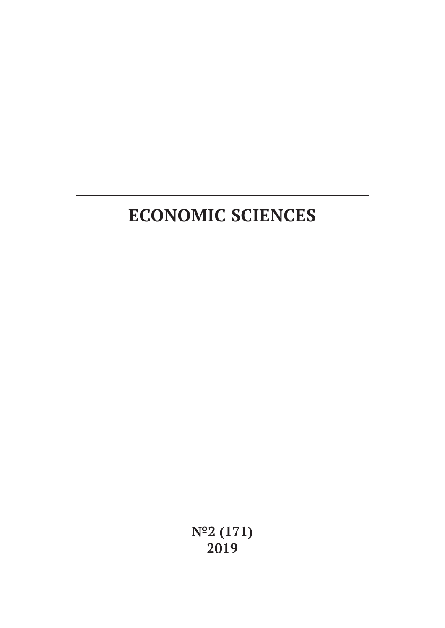**№2 (171) 2019**

# **ECONOMIC SCIENCES**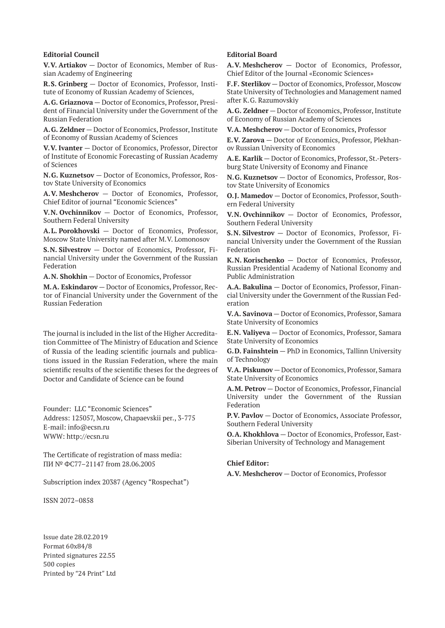#### **Editorial Council**

**V.V. Artiakov** — Doctor of Economics, Member of Russian Academy of Engineering

**R.S. Grinberg** — Doctor of Economics, Professor, Institute of Economy of Russian Academy of Sciences,

**A.G. Griaznova** — Doctor of Economics, Professor, President of Financial University under the Government of the Russian Federation

**A.G. Zeldner** — Doctor of Economics, Professor, Institute of Economy of Russian Academy of Sciences

**V.V. Ivanter** — Doctor of Economics, Professor, Director of Institute of Economic Forecasting of Russian Academy of Sciences

**N.G. Kuznetsov** — Doctor of Economics, Professor, Rostov State University of Economics

**A.V. Meshcherov** — Doctor of Economics, Professor, Chief Editor of journal "Economic Sciences"

**V.N. Ovchinnikov** — Doctor of Economics, Professor, Southern Federal University

**A.L. Porokhovski** — Doctor of Economics, Professor, Moscow State University named after M.V. Lomonosov

**S.N. Silvestrov** — Doctor of Economics, Professor, Financial University under the Government of the Russian Federation

**A.N. Shokhin** — Doctor of Economics, Professor

**M.A. Eskindarov** — Doctor of Economics, Professor, Rector of Financial University under the Government of the Russian Federation

The journal is included in the list of the Higher Accreditation Committee of The Ministry of Education and Science of Russia of the leading scientific journals and publications issued in the Russian Federation, where the main scientific results of the scientific theses for the degrees of Doctor and Candidate of Science can be found

Founder: LLC "Economic Sciences" Address: 125057, Moscow, Chapaevskii per., 3-775 E-mail: info@ecsn.ru WWW: http://ecsn.ru

The Certificate of registration of mass media: ПИ № ФС77–21147 from 28.06.2005

Subscription index 20387 (Agency "Rospechat")

ISSN 2072–0858

Issue date 28.02.2019 Format 60х84/8 Printed signatures 22.55 500 copies Printed by "24 Print" Ltd

#### **Editorial Board**

**A.V. Meshcherov** — Doctor of Economics, Professor, Chief Editor of the Journal «Economic Sciences»

**F.F. Sterlikov** — Doctor of Economics, Professor, Moscow State University of Technologies and Management named after K.G. Razumovskiy

**A.G. Zeldner** — Doctor of Economics, Professor, Institute of Economy of Russian Academy of Sciences

**V.A. Meshcherov** — Doctor of Economics, Professor

**E.V. Zarova** — Doctor of Economics, Professor, Plekhanov Russian University of Economics

**A.E. Karlik** — Doctor of Economics, Professor, St.-Petersburg State University of Economy and Finance

**N.G. Kuznetsov** — Doctor of Economics, Professor, Rostov State University of Economics

**O.J. Mamedov** — Doctor of Economics, Professor, Southern Federal University

**V.N. Ovchinnikov** — Doctor of Economics, Professor, Southern Federal University

**S.N. Silvestrov** — Doctor of Economics, Professor, Financial University under the Government of the Russian Federation

**K.N. Korischenko** — Doctor of Economics, Professor, Russian Presidential Academy of National Economy and Public Administration

**A.A. Bakulina** — Doctor of Economics, Professor, Financial University under the Government of the Russian Federation

**V.A. Savinova** — Doctor of Economics, Professor, Samara State University of Economics

**E.N. Valiyeva** — Doctor of Economics, Professor, Samara State University of Economics

**G.D. Fainshtein** — PhD in Economics, Tallinn University of Technology

**V.A. Piskunov** — Doctor of Economics, Professor, Samara State University of Economics

**A.M. Petrov** — Doctor of Economics, Professor, Financial University under the Government of the Russian Federation

**P.V. Pavlov** — Doctor of Economics, Associate Professor, Southern Federal University

**O.A. Khokhlova** — Doctor of Economics, Professor, East-Siberian University of Technology and Management

#### **Chief Editor:**

**A.V. Meshcherov** — Doctor of Economics, Professor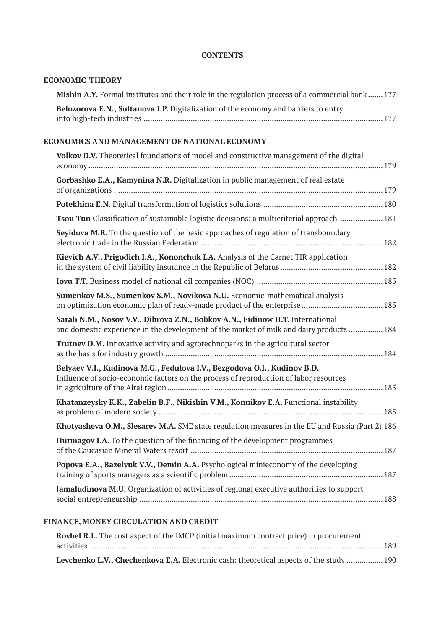## **CONTENTS**

# **ECONOMIC THEORY**

| <b>Mishin A.Y.</b> Formal institutes and their role in the regulation process of a commercial bank 177 |  |
|--------------------------------------------------------------------------------------------------------|--|
| Belozorova E.N., Sultanova I.P. Digitalization of the economy and barriers to entry                    |  |
|                                                                                                        |  |

## **ECONOMICS AND MANAGEMENT OF NATIONAL ECONOMY**

| Volkov D.V. Theoretical foundations of model and constructive management of the digital                                                                                   |  |
|---------------------------------------------------------------------------------------------------------------------------------------------------------------------------|--|
| Gorbashko E.A., Kamynina N.R. Digitalization in public management of real estate                                                                                          |  |
|                                                                                                                                                                           |  |
| Tsou Tun Classification of sustainable logistic decisions: a multicriterial approach  181                                                                                 |  |
| Seyidova M.R. To the question of the basic approaches of regulation of transboundary                                                                                      |  |
| Kievich A.V., Prigodich I.A., Kononchuk I.A. Analysis of the Carnet TIR application                                                                                       |  |
|                                                                                                                                                                           |  |
| Sumenkov M.S., Sumenkov S.M., Novikova N.U. Economic-mathematical analysis                                                                                                |  |
| Sarah N.M., Nosov V.V., Dibrova Z.N., Bobkov A.N., Eidinow H.T. International<br>and domestic experience in the development of the market of milk and dairy products  184 |  |
| Trutnev D.M. Innovative activity and agrotechnoparks in the agricultural sector                                                                                           |  |
| Belyaev V.I., Kudinova M.G., Fedulova I.V., Bezgodova O.I., Kudinov B.D.<br>Influence of socio-economic factors on the process of reproduction of labor resources         |  |
| Khatanzeysky K.K., Zabelin B.F., Nikishin V.M., Konnikov E.A. Functional instability                                                                                      |  |
| Khotyasheva O.M., Slesarev M.A. SME state regulation measures in the EU and Russia (Part 2) 186                                                                           |  |
| Hurmagov I.A. To the question of the financing of the development programmes                                                                                              |  |
| Popova E.A., Bazelyuk V.V., Demin A.A. Psychological minieconomy of the developing                                                                                        |  |
| Jamaludinova M.U. Organization of activities of regional executive authorities to support                                                                                 |  |

# **FINANCE, MONEY CIRCULATION AND CREDIT**

| <b>Rovbel R.L.</b> The cost aspect of the IMCP (initial maximum contract price) in procurement |  |
|------------------------------------------------------------------------------------------------|--|
|                                                                                                |  |
| Levchenko L.V., Chechenkova E.A. Electronic cash: theoretical aspects of the study  190        |  |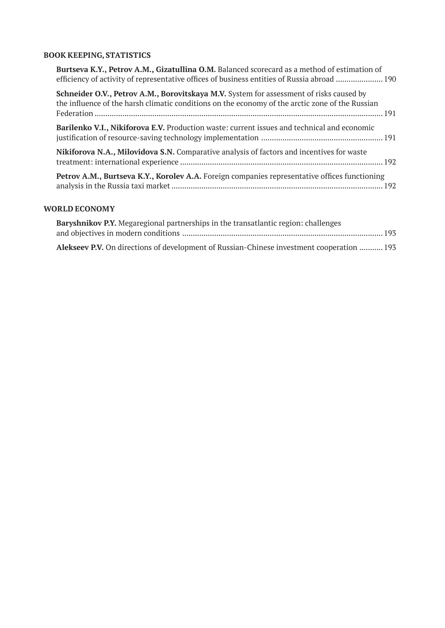# **BOOK KEEPING, STATISTICS**

| Burtseva K.Y., Petrov A.M., Gizatullina O.M. Balanced scorecard as a method of estimation of<br>efficiency of activity of representative offices of business entities of Russia abroad  190 |  |
|---------------------------------------------------------------------------------------------------------------------------------------------------------------------------------------------|--|
| Schneider O.V., Petrov A.M., Borovitskaya M.V. System for assessment of risks caused by<br>the influence of the harsh climatic conditions on the economy of the arctic zone of the Russian  |  |
| Barilenko V.I., Nikiforova E.V. Production waste: current issues and technical and economic                                                                                                 |  |
| Nikiforova N.A., Milovidova S.N. Comparative analysis of factors and incentives for waste                                                                                                   |  |
| Petrov A.M., Burtseva K.Y., Korolev A.A. Foreign companies representative offices functioning                                                                                               |  |

# **WORLD ECONOMY**

| <b>Baryshnikov P.Y.</b> Megaregional partnerships in the transatlantic region: challenges |  |
|-------------------------------------------------------------------------------------------|--|
|                                                                                           |  |
| Alekseev P.V. On directions of development of Russian-Chinese investment cooperation  193 |  |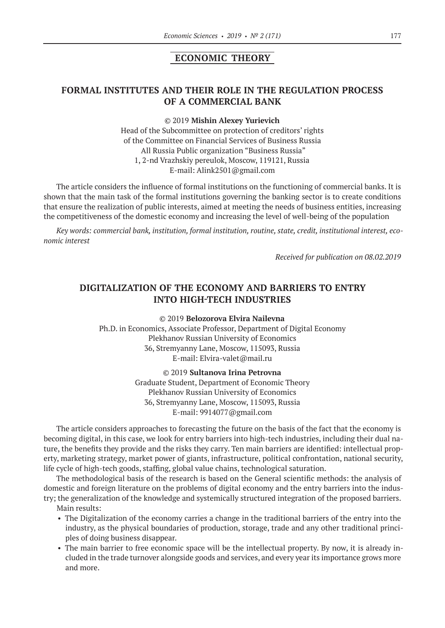## **ECONOMIC THEORY**

# **FORMAL INSTITUTES AND THEIR ROLE IN THE REGULATION PROCESS OF A COMMERCIAL BANK**

#### ©© 2019 **Mishin Alexey Yurievich**

Head of the Subcommittee on protection of creditors' rights of the Committee on Financial Services of Business Russia All Russia Public organization "Business Russia" 1, 2-nd Vrazhskiy pereulok, Moscow, 119121, Russia E‑mail: Alink2501@gmail.com

The article considers the influence of formal institutions on the functioning of commercial banks. It is shown that the main task of the formal institutions governing the banking sector is to create conditions that ensure the realization of public interests, aimed at meeting the needs of business entities, increasing the competitiveness of the domestic economy and increasing the level of well-being of the population

*Key words: commercial bank, institution, formal institution, routine, state, credit, institutional interest, economic interest*

*Received for publication on 08.02.2019*

# **DIGITALIZATION OF THE ECONOMY AND BARRIERS TO ENTRY INTO HIGH-TECH INDUSTRIES**

©© 2019 **Belozorova Elvira Nailevna** Ph.D. in Economics, Associate Professor, Department of Digital Economy Plekhanov Russian University of Economics 36, Stremyanny Lane, Moscow, 115093, Russia E-mail: Elvira-valet@mail.ru

> ©© 2019 **Sultanova Irina Petrovna** Graduate Student, Department of Economic Theory Plekhanov Russian University of Economics 36, Stremyanny Lane, Moscow, 115093, Russia E‑mail: 9914077@gmail.com

The article considers approaches to forecasting the future on the basis of the fact that the economy is becoming digital, in this case, we look for entry barriers into high-tech industries, including their dual nature, the benefits they provide and the risks they carry. Ten main barriers are identified: intellectual property, marketing strategy, market power of giants, infrastructure, political confrontation, national security, life cycle of high-tech goods, staffing, global value chains, technological saturation.

The methodological basis of the research is based on the General scientific methods: the analysis of domestic and foreign literature on the problems of digital economy and the entry barriers into the industry; the generalization of the knowledge and systemically structured integration of the proposed barriers.

- Main results:
- The Digitalization of the economy carries a change in the traditional barriers of the entry into the industry, as the physical boundaries of production, storage, trade and any other traditional principles of doing business disappear.
- The main barrier to free economic space will be the intellectual property. By now, it is already included in the trade turnover alongside goods and services, and every year its importance grows more and more.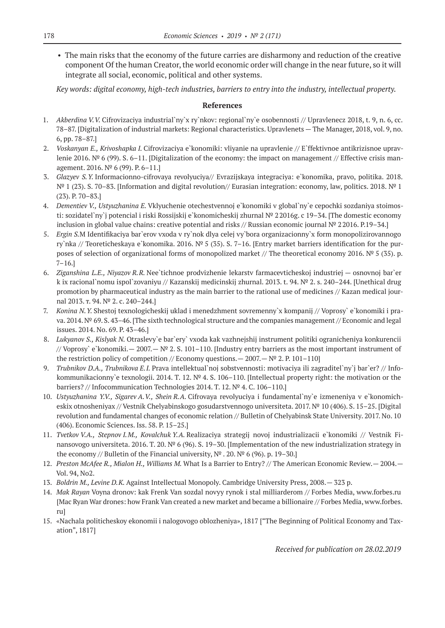• The main risks that the economy of the future carries are disharmony and reduction of the creative component Of the human Creator, the world economic order will change in the near future, so it will integrate all social, economic, political and other systems.

*Key words: digital economy, high-tech industries, barriers to entry into the industry, intellectual property.*

#### **References**

- 1. *Akberdina V.V.* Cifrovizaciya industrial`ny`x ry`nkov: regional`ny`e osobennosti // Upravlenecz 2018, t. 9, n. 6, cc. 78–87. [Digitalization of industrial markets: Regional characteristics. Upravlenets — The Manager, 2018, vol. 9, no. 6, pp. 78–87.]
- 2. *Voskanyan E., Krivoshapka I.* Cifrovizaciya e`konomiki: vliyanie na upravlenie // E`ffektivnoe antikrizisnoe upravlenie 2016. № 6 (99). S. 6–11. [Digitalization of the economy: the impact on management // Effective crisis management. 2016. № 6 (99). P. 6–11.]
- 3. *Glazyev S.Y.* Informacionno-cifrovaya revolyuciya// Evrazijskaya integraciya: e`konomika, pravo, politika. 2018. № 1 (23). S. 70–83. [Information and digital revolution// Eurasian integration: economy, law, politics. 2018. № 1 (23). P. 70–83.]
- 4. *Dementiev V., Ustyuzhanina E.* Vklyuchenie otechestvennoj e`konomiki v global`ny`e cepochki sozdaniya stoimosti: sozidatel`ny`j potencial i riski Rossijskij e`konomicheskij zhurnal № 22016g. c 19–34. [The domestic economy inclusion in global value chains: creative potential and risks // Russian economic journal № 22016. P.19–34.]
- 5. *Ergin S.*M Identifikaciya bar`erov vxoda v ry`nok dlya celej vy`bora organizacionny`x form monopolizirovannogo ry`nka // Teoreticheskaya e`konomika. 2016. № 5 (35). S. 7–16. [Entry market barriers identification for the purposes of selection of organizational forms of monopolized market // The theoretical economy 2016. № 5 (35). p.  $7-16.$ ]
- 6. *Ziganshina L.E., Niyazov R.R.* Nee`tichnoe prodvizhenie lekarstv farmacevticheskoj industriej osnovnoj bar`er k ix racional`nomu ispol`zovaniyu // Kazanskij medicinskij zhurnal. 2013. t. 94. № 2. s. 240–244. [Unethical drug promotion by pharmaceutical industry as the main barrier to the rational use of medicines // Kazan medical journal 2013. т. 94. № 2. с. 240–244.]
- 7. *Konina N.Y.* Shestoj texnologicheskij uklad i menedzhment sovremenny`x kompanij // Voprosy` e`konomiki i prava. 2014. № 69. S. 43–46. [The sixth technological structure and the companies management // Economic and legal issues. 2014. No. 69. P. 43–46.]
- 8. *Lukyanov S., Kislyak N.* Otraslevy`e bar`ery` vxoda kak vazhnejshij instrument politiki ogranicheniya konkurencii // Voprosy` e`konomiki.— 2007.— № 2. S. 101–110. [Industry entry barriers as the most important instrument of the restriction policy of competition // Economy questions.  $- 2007. - N^{\circ} 2.$  P. 101-110]
- 9. *Trubnikov D.A., Trubnikova E.I.* Prava intellektual`noj sobstvennosti: motivaciya ili zagraditel`ny`j bar`er? // Infokommunikacionny`e texnologii. 2014. T. 12. № 4. S. 106–110. [Intellectual property right: the motivation or the barriers? // Infocommunication Technologies 2014. Т. 12. № 4. С. 106–110.]
- 10. *Ustyuzhanina Y.V., Sigarev A.V., Shein R.A.* Cifrovaya revolyuciya i fundamental`ny`e izmeneniya v e`konomicheskix otnosheniyax // Vestnik Chelyabinskogo gosudarstvennogo universiteta. 2017. № 10 (406). S. 15–25. [Digital revolution and fundamental changes of economic relation // Bulletin of Chelyabinsk State University. 2017. No. 10 (406). Economic Sciences. Iss. 58. Р. 15–25.]
- 11. *Tvetkov V.A., Stepnov I.M., Kovalchuk Y.A.* Realizaciya strategij novoj industrializacii e`konomiki // Vestnik Finansovogo universiteta. 2016. T. 20. № 6 (96). S. 19–30. [Implementation of the new industrialization strategy in the economy // Bulletin of the Financial university,  $N^{\circ}$  . 20.  $N^{\circ}$  6 (96). p. 19–30.]
- 12. *Preston McAfee R., Mialon H., Williams M.* What Is a Barrier to Entry? // The American Economic Review.— 2004.— Vol. 94, No2.
- 13. *Boldrin M., Levine D.K.* Against Intellectual Monopoly. Cambridge University Press, 2008.— 323 p.
- 14. *Mak Rayan* Voyna dronov: kak Frenk Van sozdal novyy rynok i stal milliarderom // Forbes Media, www.forbes.ru [Mac Ryan War drones: how Frank Van created a new market and became a billionaire // Forbes Media, www.forbes. ru]
- 15. «Nachala politicheskoy ekonomii i nalogovogo oblozheniya», 1817 ["The Beginning of Political Economy and Taxation", 1817]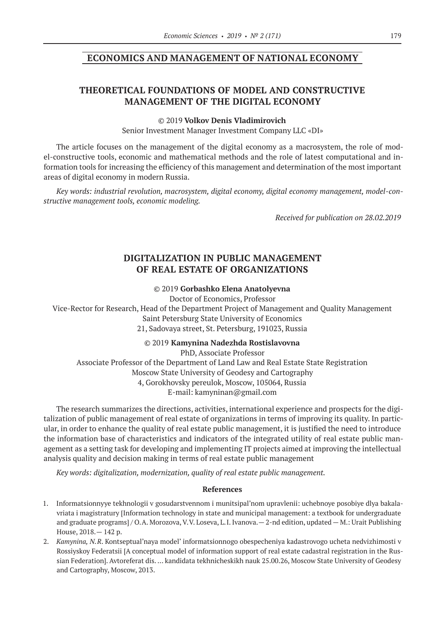## **ECONOMICS AND MANAGEMENT OF NATIONAL ECONOMY**

# **THEORETICAL FOUNDATIONS OF MODEL AND CONSTRUCTIVE MANAGEMENT OF THE DIGITAL ECONOMY**

#### ©© 2019 **Volkov Denis Vladimirovich**

Senior Investment Manager Investment Company LLC «DI»

The article focuses on the management of the digital economy as a macrosystem, the role of model-constructive tools, economic and mathematical methods and the role of latest computational and information tools for increasing the efficiency of this management and determination of the most important areas of digital economy in modern Russia.

*Key words: industrial revolution, macrosystem, digital economy, digital economy management, model-constructive management tools, economic modeling.*

*Received for publication on 28.02.2019*

# **DIGITALIZATION IN PUBLIC MANAGEMENT OF REAL ESTATE OF ORGANIZATIONS**

#### ©© 2019 **Gorbashko Elena Anatolyevna**

Doctor of Economics, Professor

Vice-Rector for Research, Head of the Department Project of Management and Quality Management Saint Petersburg State University of Economics 21, Sadovaya street, St. Petersburg, 191023, Russia

#### ©© 2019 **Kamynina Nadezhda Rostislavovna**

PhD, Associate Professor Associate Professor of the Department of Land Law and Real Estate State Registration Moscow State University of Geodesy and Cartography 4, Gorokhovsky pereulok, Moscow, 105064, Russia Е‑mail: kamyninan@gmail.com

The research summarizes the directions, activities, international experience and prospects for the digitalization of public management of real estate of organizations in terms of improving its quality. In particular, in order to enhance the quality of real estate public management, it is justified the need to introduce the information base of characteristics and indicators of the integrated utility of real estate public management as a setting task for developing and implementing IT projects aimed at improving the intellectual analysis quality and decision making in terms of real estate public management

*Key words: digitalization, modernization, quality of real estate public management.*

#### **References**

- 1. Informatsionnyye tekhnologii v gosudarstvennom i munitsipal'nom upravlenii: uchebnoye posobiye dlya bakalavriata i magistratury [Information technology in state and municipal management: a textbook for undergraduate and graduate programs] / O.A. Morozova, V.V. Loseva, L.I. Ivanova.— 2-nd edition, updated — M.: Urait Publishing House, 2018.— 142 p.
- 2. *Kamynina, N.R*. Kontseptual'naya model' informatsionnogo obespecheniya kadastrovogo ucheta nedvizhimosti v Rossiyskoy Federatsii [A conceptual model of information support of real estate cadastral registration in the Russian Federation]. Avtoreferat dis. … kandidata tekhnicheskikh nauk 25.00.26, Moscow State University of Geodesy and Cartography, Moscow, 2013.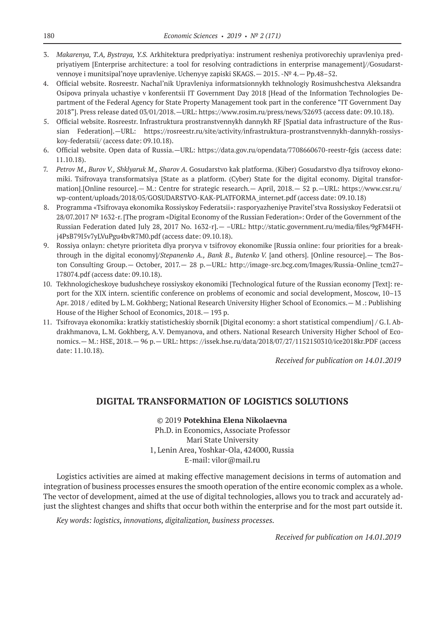- 3. *Makarenya, T.A, Bystraya, Y.S.* Arkhitektura predpriyatiya: instrument resheniya protivorechiy upravleniya predpriyatiyem [Enterprise architecture: a tool for resolving contradictions in enterprise management]//Gosudarstvennoye i munitsipal'noye upravleniye. Uchenyye zapiski SKAGS.— 2015. -№ 4.— Рр.48–52.
- 4. Official website. Rosreestr. Nachal'nik Upravleniya informatsionnykh tekhnologiy Rosimushchestva Aleksandra Osipova prinyala uchastiye v konferentsii IT Government Day 2018 [Head of the Information Technologies Department of the Federal Agency for State Property Management took part in the conference "IT Government Day 2018"]. Press release dated 03/01/2018.—URL: https://www.rosim.ru/press/news/32693 (access date: 09.10.18).
- 5. Official website. Rosreestr. Infrastruktura prostranstvennykh dannykh RF [Spatial data infrastructure of the Russian Federation].—URL: https://rosreestr.ru/site/activity/infrastruktura-prostranstvennykh-dannykh-rossiyskoy-federatsii/ (access date: 09.10.18).
- 6. Official website. Open data of Russia.—URL: https://data.gov.ru/opendata/7708660670-reestr-fgis (access date: 11.10.18).
- 7. *Petrov M., Burov V., Shklyaruk M., Sharov A.* Gosudarstvo kak platforma. (Kiber) Gosudarstvo dlya tsifrovoy ekonomiki. Tsifrovaya transformatsiya [State as a platform. (Cyber) State for the digital economy. Digital transformation].[Online resource].— M.: Centre for strategic research.— April, 2018.— 52 p.—URL: https://www.csr.ru/ wp-content/uploads/2018/05/GOSUDARSTVO-KAK-PLATFORMA\_internet.pdf (access date: 09.10.18)
- 8. Programma «Tsifrovaya ekonomika Rossiyskoy Federatsii»: rasporyazheniye Pravitel'stva Rossiyskoy Federatsii ot 28/07.2017 № 1632-r. [The program «Digital Economy of the Russian Federation»: Order of the Government of the Russian Federation dated July 28, 2017 No. 1632-r]. - - URL: http://static.government.ru/media/files/9gFM4FHj4PsB79I5v7yLVuPgu4bvR7M0.pdf (access date: 09.10.18).
- 9. Rossiya onlayn: chetyre prioriteta dlya proryva v tsifrovoy ekonomike [Russia online: four priorities for a breakthrough in the digital economy]/*Stepanenko A., Bank B., Butenko V.* [and others]. [Online resource].— The Boston Consulting Group.— October, 2017. — 28 p. — URL: http://image-src.bcg.com/Images/Russia-Online tcm27– 178074.pdf (access date: 09.10.18).
- 10. Tekhnologicheskoye budushcheye rossiyskoy ekonomiki [Technological future of the Russian economy [Text]: report for the XIX intern. scientific conference on problems of economic and social development, Moscow, 10–13 Apr. 2018 / edited by L.M. Gokhberg; National Research University Higher School of Economics.— M .: Publishing House of the Higher School of Economics, 2018.— 193 p.
- 11. Tsifrovaya ekonomika: kratkiy statisticheskiy sbornik [Digital economy: a short statistical compendium] / G.I. Abdrakhmanova, L.M. Gokhberg, A.V. Demyanova, and others. National Research University Higher School of Economics.— M.: HSE, 2018.— 96 p.— URL: https: //issek.hse.ru/data/2018/07/27/1152150310/ice2018kr.PDF (access date: 11.10.18).

*Received for publication on 14.01.2019*

# **DIGITAL TRANSFORMATION OF LOGISTICS SOLUTIONS**

©© 2019 **Potekhina Elena Nikolaevna**

Ph.D. in Economics, Associate Professor Mari State University 1, Lenin Area, Yoshkar-Ola, 424000, Russia E-mail: vilor@mail.ru

Logistics activities are aimed at making effective management decisions in terms of automation and integration of business processes ensures the smooth operation of the entire economic complex as a whole. The vector of development, aimed at the use of digital technologies, allows you to track and accurately adjust the slightest changes and shifts that occur both within the enterprise and for the most part outside it.

*Key words: logistics, innovations, digitalization, business processes.*

*Received for publication on 14.01.2019*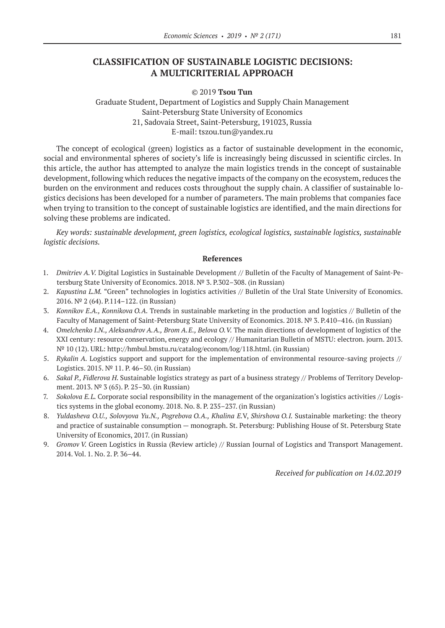# **CLASSIFICATION OF SUSTAINABLE LOGISTIC DECISIONS: A MULTICRITERIAL APPROACH**

©© 2019 **Tsou Tun**

Graduate Student, Department of Logistics and Supply Chain Management Saint-Petersburg State University of Economics 21, Sadovaia Street, Saint-Petersburg, 191023, Russia E‑mail: tszou.tun@yandex.ru

The concept of ecological (green) logistics as a factor of sustainable development in the economic, social and environmental spheres of society's life is increasingly being discussed in scientific circles. In this article, the author has attempted to analyze the main logistics trends in the concept of sustainable development, following which reduces the negative impacts of the company on the ecosystem, reduces the burden on the environment and reduces costs throughout the supply chain. A classifier of sustainable logistics decisions has been developed for a number of parameters. The main problems that companies face when trying to transition to the concept of sustainable logistics are identified, and the main directions for solving these problems are indicated.

*Key words: sustainable development, green logistics, ecological logistics, sustainable logistics, sustainable logistic decisions.*

#### **References**

- 1. *Dmitriev A.V.* Digital Logistics in Sustainable Development // Bulletin of the Faculty of Management of Saint-Petersburg State University of Economics. 2018. № 3. P.302–308. (in Russian)
- 2. *Kapustina L.M.* "Green" technologies in logistics activities // Bulletin of the Ural State University of Economics. 2016. № 2 (64). P.114–122. (in Russian)
- 3. *Konnikov E.A., Konnikova O.A.* Trends in sustainable marketing in the production and logistics // Bulletin of the Faculty of Management of Saint-Petersburg State University of Economics. 2018. № 3. P.410–416. (in Russian)
- 4. *Omelchenko I.N., Aleksandrov A.A., Brom A.E., Belova O.V.* The main directions of development of logistics of the XXI century: resource conservation, energy and ecology // Humanitarian Bulletin of MSTU: electron. journ. 2013. № 10 (12). URL: http://hmbul.bmstu.ru/catalog/econom/log/118.html. (in Russian)
- 5. *Rykalin A.* Logistics support and support for the implementation of environmental resource-saving projects // Logistics. 2015. № 11. P. 46–50. (in Russian)
- 6. *Sakal P., Fidlerova H.* Sustainable logistics strategy as part of a business strategy // Problems of Territory Development. 2013. № 3 (65). P. 25–30. (in Russian)
- 7. *Sokolova E.L.* Corporate social responsibility in the management of the organization's logistics activities // Logistics systems in the global economy. 2018. No. 8. P. 235–237. (in Russian)
- 8. *Yuldasheva O.U., Solovyova Yu.N., Pogrebova O.A., Khalina E.*V, *Shirshova O.I.* Sustainable marketing: the theory and practice of sustainable consumption — monograph. St. Petersburg: Publishing House of St. Petersburg State University of Economics, 2017. (in Russian)
- 9. *Gromov V.* Green Logistics in Russia (Review article) // Russian Journal of Logistics and Transport Management. 2014. Vol. 1. No. 2. P. 36–44.

*Received for publication on 14.02.2019*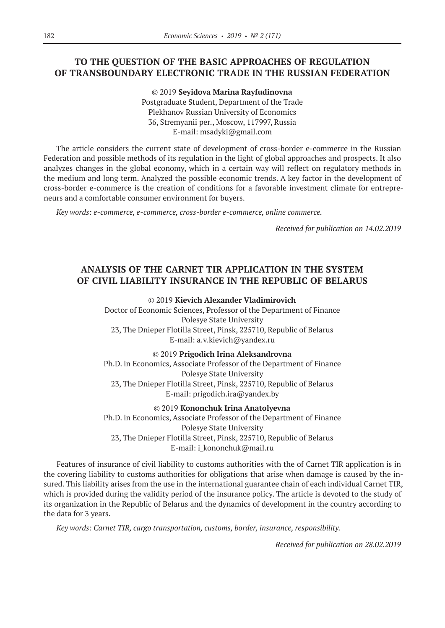# **TO THE QUESTION OF THE BASIC APPROACHES OF REGULATION OF TRANSBOUNDARY ELECTRONIC TRADE IN THE RUSSIAN FEDERATION**

©© 2019 **Seyidova Marina Rayfudinovna** Postgraduate Student, Department of the Trade Plekhanov Russian University of Economics 36, Stremyanii per., Moscow, 117997, Russia E‑mail: msadyki@gmail.com

The article considers the current state of development of cross-border e-commerce in the Russian Federation and possible methods of its regulation in the light of global approaches and prospects. It also analyzes changes in the global economy, which in a certain way will reflect on regulatory methods in the medium and long term. Analyzed the possible economic trends. A key factor in the development of cross-border e-commerce is the creation of conditions for a favorable investment climate for entrepreneurs and a comfortable consumer environment for buyers.

*Key words: e-commerce, e-commerce, cross-border e-commerce, online commerce.*

*Received for publication on 14.02.2019*

# **ANALYSIS OF THE CARNET TIR APPLICATION IN THE SYSTEM OF CIVIL LIABILITY INSURANCE IN THE REPUBLIC OF BELARUS**

©© 2019 **Kievich Alexander Vladimirovich** Doctor of Economic Sciences, Professor of the Department of Finance Polesye State University 23, The Dnieper Flotilla Street, Pinsk, 225710, Republic of Belarus Е‑mail: a.v.kievich@yandex.ru

©© 2019 **Prigodich Irina Aleksandrovna** Ph.D. in Economics, Associate Professor of the Department of Finance Polesye State University 23, The Dnieper Flotilla Street, Pinsk, 225710, Republic of Belarus E-mail: prigodich.ira@yandex.by

©© 2019 **Kononchuk Irina Anatolyevna** Ph.D. in Economics, Associate Professor of the Department of Finance Polesye State University 23, The Dnieper Flotilla Street, Pinsk, 225710, Republic of Belarus E-mail: i kononchuk@mail.ru

Features of insurance of civil liability to customs authorities with the of Carnet TIR application is in the covering liability to customs authorities for obligations that arise when damage is caused by the insured. This liability arises from the use in the international guarantee chain of each individual Carnet TIR, which is provided during the validity period of the insurance policy. The article is devoted to the study of its organization in the Republic of Belarus and the dynamics of development in the country according to the data for 3 years.

*Key words: Carnet TIR, cargo transportation, customs, border, insurance, responsibility.*

*Received for publication on 28.02.2019*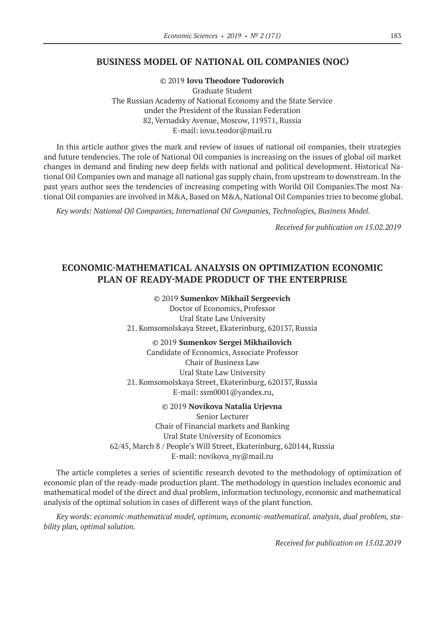## **BUSINESS MODEL OF NATIONAL OIL COMPANIES (NOC)**

©© 2019 **Iovu Theodore Tudorovich**

Graduate Student The Russian Academy of National Economy and the State Service under the President of the Russian Federation 82, Vernadsky Avenue, Moscow, 119571, Russia E-mail: iovu.teodor@mail.ru

In this article author gives the mark and review of issues of national oil companies, their strategies and future tendencies. The role of National Oil companies is increasing on the issues of global oil market changes in demand and finding new deep fields with national and political development. Historical National Oil Companies own and manage all national gas supply chain, from upstream to downstream. In the past years author sees the tendencies of increasing competing with Worild Oil Companies.The most National Oil companies are involved in M&A, Based on M&A, National Oil Companies tries to become global.

*Key words: National Oil Companies, International Oil Companies, Technologies, Business Model.*

*Received for publication on 15.02.2019*

# **ECONOMIC-MATHEMATICAL ANALYSIS ON OPTIMIZATION ECONOMIC PLAN OF READY-MADE PRODUCT OF THE ENTERPRISE**

©© 2019 **Sumenkov Mikhail Sergeevich**

Doctor of Economics, Professor Ural State Law University 21. Komsomolskaya Street, Ekaterinburg, 620137, Russia

©© 2019 **Sumenkov Sergei Mikhailovich** Сandidate of Economics, Associate Professor Chair of Business Law Ural State Law University 21. Komsomolskaya Street, Ekaterinburg, 620137, Russia E‑mail: ssm0001@yandex.ru,

©© 2019 **Novikova Natalia Urjevna** Senior Lecturer Chair of Financial markets and Banking Ural State University of Economics 62/45, March 8 / People's Will Street, Ekaterinburg, 620144, Russia E-mail: novikova ny@mail.ru

The article completes a series of scientific research devoted to the methodology of optimization of economic plan of the ready-made production plant. The methodology in question includes economic and mathematical model of the direct and dual problem, information technology, economic and mathematical analysis of the optimal solution in cases of different ways of the plant function.

*Key words: economic-mathematical model, optimum, economic-mathematical. analysis, dual problem, stability plan, optimal solution.*

*Received for publication on 15.02.2019*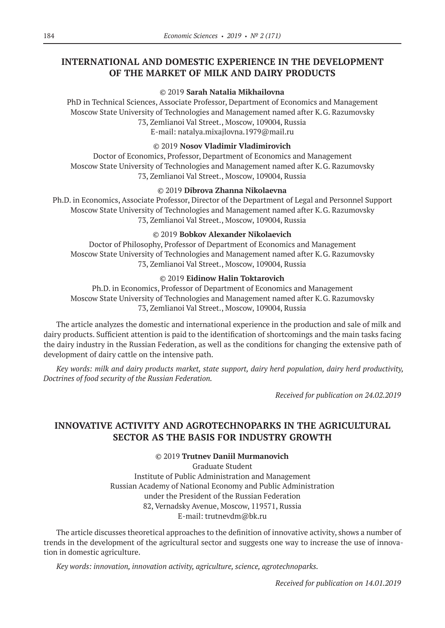# **INTERNATIONAL AND DOMESTIC EXPERIENCE IN THE DEVELOPMENT OF THE MARKET OF MILK AND DAIRY PRODUCTS**

## ©© 2019 **Sarah Natalia Mikhailovna**

PhD in Technical Sciences, Associate Professor, Department of Economics and Management Moscow State University of Technologies and Management named after K.G. Razumovsky 73, Zemlianoi Val Street., Moscow, 109004, Russia E‑mail: natalya.mixajlovna.1979@mail.ru

## ©© 2019 **Nosov Vladimir Vladimirovich**

Doctor of Economics, Professor, Department of Economics and Management Moscow State University of Technologies and Management named after K.G. Razumovsky 73, Zemlianoi Val Street., Moscow, 109004, Russia

## ©© 2019 **Dibrova Zhanna Nikolaevna**

Ph.D. in Economics, Associate Professor, Director of the Department of Legal and Personnel Support Moscow State University of Technologies and Management named after K.G. Razumovsky 73, Zemlianoi Val Street., Moscow, 109004, Russia

## ©© 2019 **Bobkov Alexander Nikolaevich**

Doctor of Philosophy, Professor of Department of Economics and Management Moscow State University of Technologies and Management named after K.G. Razumovsky 73, Zemlianoi Val Street., Moscow, 109004, Russia

## ©© 2019 **Eidinow Halin Toktarovich**

Ph.D. in Economics, Professor of Department of Economics and Management Moscow State University of Technologies and Management named after K.G. Razumovsky 73, Zemlianoi Val Street., Moscow, 109004, Russia

The article analyzes the domestic and international experience in the production and sale of milk and dairy products. Sufficient attention is paid to the identification of shortcomings and the main tasks facing the dairy industry in the Russian Federation, as well as the conditions for changing the extensive path of development of dairy cattle on the intensive path.

*Key words: milk and dairy products market, state support, dairy herd population, dairy herd productivity, Doctrines of food security of the Russian Federation.*

*Received for publication on 24.02.2019*

# **INNOVATIVE ACTIVITY AND AGROTECHNOPARKS IN THE AGRICULTURAL SECTOR AS THE BASIS FOR INDUSTRY GROWTH**

©© 2019 **Trutnev Daniil Murmanovich**

Graduate Student Institute of Public Administration and Management Russian Academy of National Economy and Public Administration under the President of the Russian Federation 82, Vernadsky Avenue, Moscow, 119571, Russia E‑mail: trutnevdm@bk.ru

The article discusses theoretical approaches to the definition of innovative activity, shows a number of trends in the development of the agricultural sector and suggests one way to increase the use of innovation in domestic agriculture.

*Key words: innovation, innovation activity, agriculture, science, agrotechnoparks.*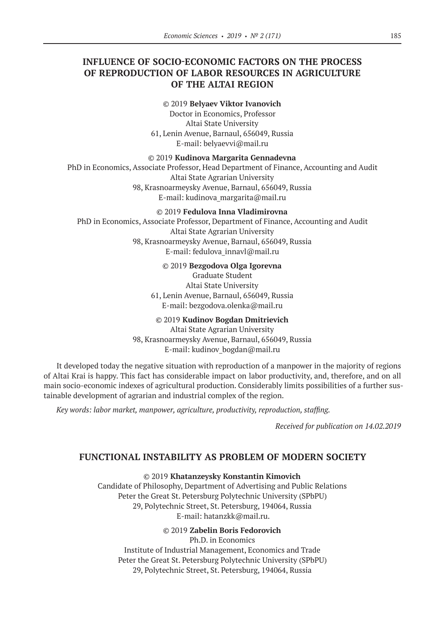# **INFLUENCE OF SOCIO-ECONOMIC FACTORS ON THE PROCESS OF REPRODUCTION OF LABOR RESOURCES IN AGRICULTURE OF THE ALTAI REGION**

#### ©© 2019 **Belyaev Viktor Ivanovich**

Doctor in Economics, Professor Altai State University 61, Lenin Avenue, Barnaul, 656049, Russia E‑mail: belyaevvi@mail.ru

#### ©© 2019 **Kudinova Margarita Gennadevna**

PhD in Economics, Associate Professor, Head Department of Finance, Accounting and Audit Altai State Agrarian University 98, Krasnoarmeysky Avenue, Barnaul, 656049, Russia E‑mail: kudinova\_margarita@mail.ru

#### ©© 2019 **Fedulova Inna Vladimirovna**

PhD in Economics, Associate Professor, Department of Finance, Accounting and Audit Altai State Agrarian University 98, Krasnoarmeysky Avenue, Barnaul, 656049, Russia E‑mail: fedulova\_innavl@mail.ru

#### ©© 2019 **Bezgodova Olga Igorevna**

Graduate Student Altai State University 61, Lenin Avenue, Barnaul, 656049, Russia E‑mail: bezgodova.olenka@mail.ru

#### ©© 2019 **Kudinov Bogdan Dmitrievich**

Altai State Agrarian University 98, Krasnoarmeysky Avenue, Barnaul, 656049, Russia E‑mail: kudinov\_bogdan@mail.ru

It developed today the negative situation with reproduction of a manpower in the majority of regions of Altai Krai is happy. This fact has considerable impact on labor productivity, and, therefore, and on all main socio-economic indexes of agricultural production. Considerably limits possibilities of a further sustainable development of agrarian and industrial complex of the region.

*Key words: labor market, manpower, agriculture, productivity, reproduction, staffing.*

*Received for publication on 14.02.2019*

## **FUNCTIONAL INSTABILITY AS PROBLEM OF MODERN SOCIETY**

#### ©© 2019 **Khatanzeysky Konstantin Kimovich**

Candidate of Philosophy, Department of Advertising and Public Relations Peter the Great St. Petersburg Polytechnic University (SPbPU) 29, Polytechnic Street, St. Petersburg, 194064, Russia E‑mail: hatanzkk@mail.ru.

#### ©© 2019 **Zabelin Boris Fedorovich**

Ph.D. in Economics Institute of Industrial Management, Economics and Trade Peter the Great St. Petersburg Polytechnic University (SPbPU) 29, Polytechnic Street, St. Petersburg, 194064, Russia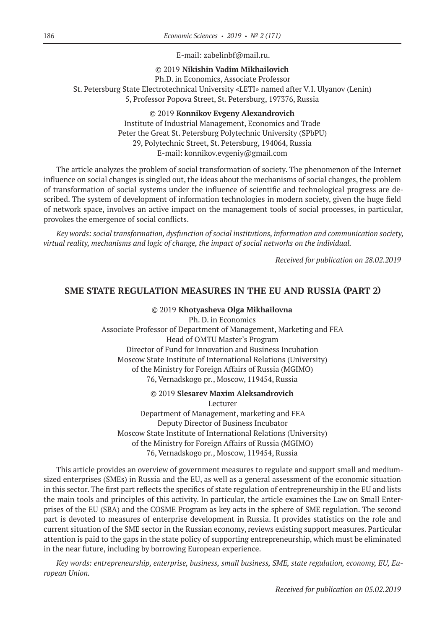E‑mail: zabelinbf@mail.ru.

©© 2019 **Nikishin Vadim Mikhailovich**

Ph.D. in Economics, Associate Professor St. Petersburg State Electrotechnical University «LETI» named after V.I. Ulyanov (Lenin) 5, Professor Popova Street, St. Petersburg, 197376, Russia

> ©© 2019 **Konnikov Evgeny Alexandrovich** Institute of Industrial Management, Economics and Trade Peter the Great St. Petersburg Polytechnic University (SPbPU) 29, Polytechnic Street, St. Petersburg, 194064, Russia E‑mail: konnikov.evgeniy@gmail.com

The article analyzes the problem of social transformation of society. The phenomenon of the Internet influence on social changes is singled out, the ideas about the mechanisms of social changes, the problem of transformation of social systems under the influence of scientific and technological progress are described. The system of development of information technologies in modern society, given the huge field of network space, involves an active impact on the management tools of social processes, in particular, provokes the emergence of social conflicts.

*Key words: social transformation, dysfunction of social institutions, information and communication society, virtual reality, mechanisms and logic of change, the impact of social networks on the individual.*

*Received for publication on 28.02.2019*

## **SME STATE REGULATION MEASURES IN THE EU AND RUSSIA (PART 2)**

#### ©© 2019 **Khotyasheva Olga Mikhailovna**

Ph. D. in Economics Associate Professor of Department of Management, Marketing and FEA Head of OMTU Master's Program Director of Fund for Innovation and Business Incubation Moscow State Institute of International Relations (University) of the Ministry for Foreign Affairs of Russia (MGIMO) 76, Vernadskogo pr., Moscow, 119454, Russia

©© 2019 **Slesarev Maxim Aleksandrovich**

Lecturer Department of Management, marketing and FEA Deputy Director of Business Incubator Moscow State Institute of International Relations (University) of the Ministry for Foreign Affairs of Russia (MGIMO) 76, Vernadskogo pr., Moscow, 119454, Russia

This article provides an overview of government measures to regulate and support small and mediumsized enterprises (SMEs) in Russia and the EU, as well as a general assessment of the economic situation in this sector. The first part reflects the specifics of state regulation of entrepreneurship in the EU and lists the main tools and principles of this activity. In particular, the article examines the Law on Small Enterprises of the EU (SBA) and the COSME Program as key acts in the sphere of SME regulation. The second part is devoted to measures of enterprise development in Russia. It provides statistics on the role and current situation of the SME sector in the Russian economy, reviews existing support measures. Particular attention is paid to the gaps in the state policy of supporting entrepreneurship, which must be eliminated in the near future, including by borrowing European experience.

*Key words: entrepreneurship, enterprise, business, small business, SME, state regulation, economy, EU, European Union.*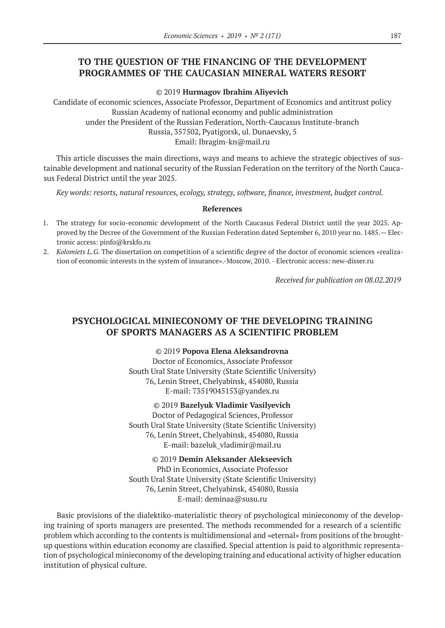# **TO THE QUESTION OF THE FINANCING OF THE DEVELOPMENT PROGRAMMES OF THE CAUCASIAN MINERAL WATERS RESORT**

©© 2019 **Hurmagov Ibrahim Aliyevich**

Candidate of economic sciences, Associate Professor, Department of Economics and antitrust policy Russian Academy of national economy and public administration under the President of the Russian Federation, North-Caucasus Institute-branch Russia, 357502, Pyatigorsk, ul. Dunaevsky, 5

Email: Ibragim-kn@mail.ru

This article discusses the main directions, ways and means to achieve the strategic objectives of sustainable development and national security of the Russian Federation on the territory of the North Caucasus Federal District until the year 2025.

*Key words: resorts, natural resources, ecology, strategy, software, finance, investment, budget control.*

#### **References**

- 1. The strategy for socio-economic development of the North Caucasus Federal District until the year 2025. Approved by the Decree of the Government of the Russian Federation dated September 6, 2010 year no. 1485.— Electronic access: рinfo@krskfo.ru
- 2. *Kolomiets L.G.* The dissertation on competition of a scientific degree of the doctor of economic sciences «realization of economic interests in the system of insurance».-Moscow, 2010. - Electronic access: new-disser.ru

*Received for publication on 08.02.2019*

# **PSYCHOLOGICAL MINIECONOMY OF THE DEVELOPING TRAINING OF SPORTS MANAGERS AS A SCIENTIFIC PROBLEM**

©© 2019 **Popova Elena Aleksandrovna**

Doctor of Economics, Associate Professor South Ural State University (State Scientific University) 76, Lenin Street, Chelyabinsk, 454080, Russia E‑mail: 73519045153@yandex.ru

©© 2019 **Bazelyuk Vladimir Vasilyevich** Doctor of Pedagogical Sciences, Professor

South Ural State University (State Scientific University) 76, Lenin Street, Chelyabinsk, 454080, Russia E-mail: bazeluk vladimir@mail.ru

©© 2019 **Demin Aleksander Alekseevich** PhD in Economics, Associate Professor South Ural State University (State Scientific University) 76, Lenin Street, Chelyabinsk, 454080, Russia E-mail: deminaa@susu.ru

Basic provisions of the dialektiko-materialistic theory of psychological minieconomy of the developing training of sports managers are presented. The methods recommended for a research of a scientific problem which according to the contents is multidimensional and «eternal» from positions of the broughtup questions within education economy are classified. Special attention is paid to algorithmic representation of psychological minieconomy of the developing training and educational activity of higher education institution of physical culture.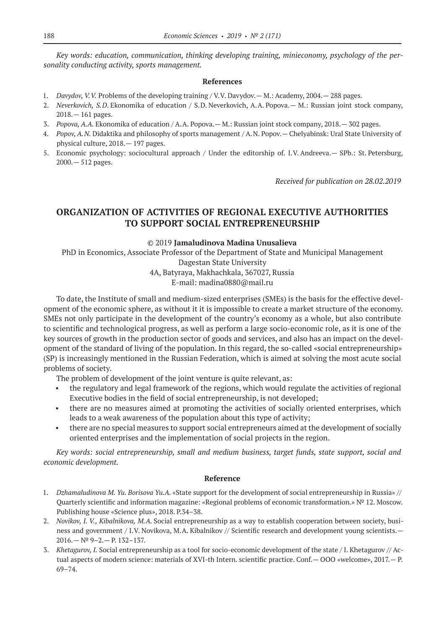*Key words: education, communication, thinking developing training, minieconomy, psychology of the personality conducting activity, sports management.*

#### **References**

- 1. *Davydov, V.V.* Problems of the developing training / V.V. Davydov.— M.: Academy, 2004.— 288 pages.
- 2. *Neverkovich, S.D*. Ekonomika of education / S.D. Neverkovich, A.A. Popova.— M.: Russian joint stock company, 2018.— 161 pages.
- 3. *Popova, A.A.* Ekonomika of education / A.A. Popova.— M.: Russian joint stock company, 2018.— 302 pages.
- 4. *Popov, A.N.* Didaktika and philosophy of sports management / A.N. Popov.— Chelyabinsk: Ural State University of physical culture, 2018.— 197 pages.
- 5. Economic psychology: sociocultural approach / Under the editorship of. I.V. Andreeva.— SPb.: St. Petersburg, 2000.— 512 pages.

*Received for publication on 28.02.2019*

# **ORGANIZATION OF ACTIVITIES OF REGIONAL EXECUTIVE AUTHORITIES TO SUPPORT SOCIAL ENTREPRENEURSHIP**

#### ©© 2019 **Jamaludinova Madina Unusalieva**

PhD in Economics, Associate Professor of the Department of State and Municipal Management Dagestan State University

4A, Batyraya, Makhachkala, 367027, Russia E-mail: madina0880@mail.ru

To date, the Institute of small and medium-sized enterprises (SMEs) is the basis for the effective development of the economic sphere, as without it it is impossible to create a market structure of the economy. SMEs not only participate in the development of the country's economy as a whole, but also contribute to scientific and technological progress, as well as perform a large socio-economic role, as it is one of the key sources of growth in the production sector of goods and services, and also has an impact on the development of the standard of living of the population. In this regard, the so-called «social entrepreneurship» (SP) is increasingly mentioned in the Russian Federation, which is aimed at solving the most acute social problems of society.

The problem of development of the joint venture is quite relevant, as:

- the regulatory and legal framework of the regions, which would regulate the activities of regional Executive bodies in the field of social entrepreneurship, is not developed;
- there are no measures aimed at promoting the activities of socially oriented enterprises, which leads to a weak awareness of the population about this type of activity;
- there are no special measures to support social entrepreneurs aimed at the development of socially oriented enterprises and the implementation of social projects in the region.

*Key words: social entrepreneurship, small and medium business, target funds, state support, social and economic development.*

#### **Reference**

- 1. *Dzhamaludinova M. Yu. Borisova Yu.A.* «State support for the development of social entrepreneurship in Russia» // Quarterly scientific and information magazine: «Regional problems of economic transformation.» № 12. Moscow. Publishing house «Science plus», 2018. P.34–38.
- 2. *Novikov, I. V., Kibalnikova, M.A.* Social entrepreneurship as a way to establish cooperation between society, business and government / I.V. Novikova, M.A. Kibalnikov // Scientific research and development young scientists.— 2016.— № 9–2.— P. 132–137.
- 3. *Khetagurov, I.* Social entrepreneurship as a tool for socio-economic development of the state / I. Khetagurov // Actual aspects of modern science: materials of XVI-th Intern. scientific practice. Conf. - OOO «welcome», 2017. - P. 69–74.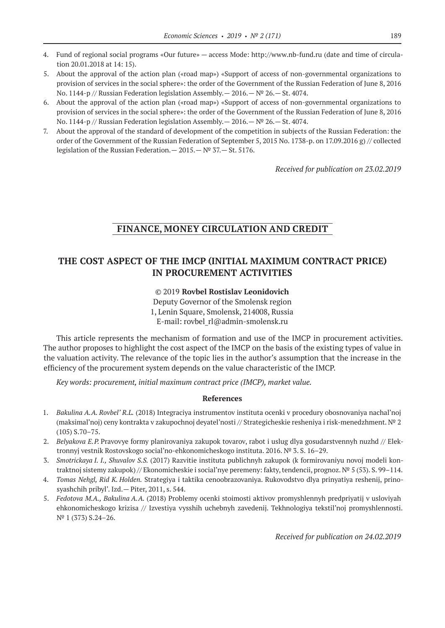- 4. Fund of regional social programs «Our future» access Mode: http://www.nb-fund.ru (date and time of circulation 20.01.2018 at 14: 15).
- 5. About the approval of the action plan («road map») «Support of access of non-governmental organizations to provision of services in the social sphere»: the order of the Government of the Russian Federation of June 8, 2016 No. 1144-p // Russian Federation legislation Assembly. - 2016. - Nº 26. - St. 4074.
- 6. About the approval of the action plan («road map») «Support of access of non-governmental organizations to provision of services in the social sphere»: the order of the Government of the Russian Federation of June 8, 2016 No. 1144-p // Russian Federation legislation Assembly. - 2016. - Nº 26. - St. 4074.
- 7. About the approval of the standard of development of the competition in subjects of the Russian Federation: the order of the Government of the Russian Federation of September 5, 2015 No. 1738-p. on 17.09.2016 g) // collected legislation of the Russian Federation.— 2015.— № 37.— St. 5176.

*Received for publication on 23.02.2019*

# **FINANCE, MONEY CIRCULATION AND CREDIT**

# **THE COST ASPECT OF THE IMCP (INITIAL MAXIMUM CONTRACT PRICE) IN PROCUREMENT ACTIVITIES**

©© 2019 **Rovbel Rostislav Leonidovich**

Deputy Governor of the Smolensk region 1, Lenin Square, Smolensk, 214008, Russia E-mail: rovbel\_rl@admin-smolensk.ru

This article represents the mechanism of formation and use of the IMCP in procurement activities. The author proposes to highlight the cost aspect of the IMCP on the basis of the existing types of value in the valuation activity. The relevance of the topic lies in the author's assumption that the increase in the efficiency of the procurement system depends on the value characteristic of the IMCP.

*Key words: procurement, initial maximum contract price (IMCP), market value.*

#### **References**

- 1. *Bakulina A.A. Rovbel' R.L.* (2018) Integraciya instrumentov instituta ocenki v procedury obosnovaniya nachal'noj (maksimal'noj) ceny kontrakta v zakupochnoj deyatel'nosti // Strategicheskie resheniya i risk-menedzhment. № 2 (105) S.70–75.
- 2. *Belyakova E.P.* Pravovye formy planirovaniya zakupok tovarov, rabot i uslug dlya gosudarstvennyh nuzhd // Elektronnyj vestnik Rostovskogo social'no-ehkonomicheskogo instituta. 2016. № 3. S. 16–29.
- 3. *Smotrickaya I. I., Shuvalov S.S.* (2017) Razvitie instituta publichnyh zakupok (k formirovaniyu novoj modeli kontraktnoj sistemy zakupok) // Ekonomicheskie i social'nye peremeny: fakty, tendencii, prognoz. № 5 (53). S. 99–114.
- 4. *Tomas Nehgl, Rid K. Holden.* Strategiya i taktika cenoobrazovaniya. Rukovodstvo dlya prinyatiya reshenij, prinosyashchih pribyl'. Izd.— Piter, 2011, s. 544.
- 5. *Fedotova M.A., Bakulina A.A.* (2018) Problemy ocenki stoimosti aktivov promyshlennyh predpriyatij v usloviyah ehkonomicheskogo krizisa // Izvestiya vysshih uchebnyh zavedenij. Tekhnologiya tekstil'noj promyshlennosti. Nº 1 (373) S.24-26.

*Received for publication on 24.02.2019*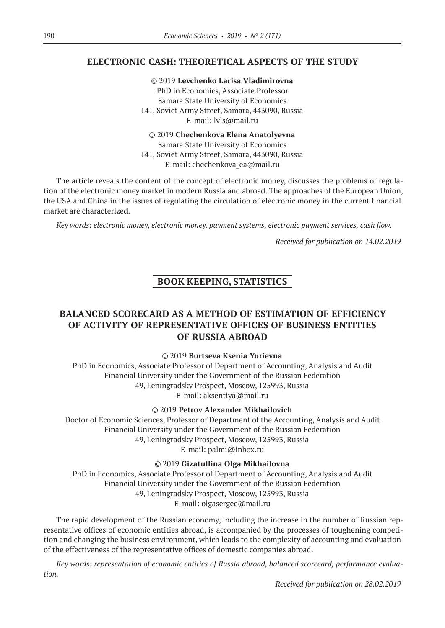# **ELECTRONIC CASH: THEORETICAL ASPECTS OF THE STUDY**

©© 2019 **Levchenko Larisa Vladimirovna**

PhD in Economics, Associate Professor Samara State University of Economics 141, Soviet Army Street, Samara, 443090, Russia E-mail: lvls@mail.ru

©© 2019 **Chechenkova Elena Anatolyevna**

Samara State University of Economics 141, Soviet Army Street, Samara, 443090, Russia E-mail: chechenkova ea@mail.ru

The article reveals the content of the concept of electronic money, discusses the problems of regulation of the electronic money market in modern Russia and abroad. The approaches of the European Union, the USA and China in the issues of regulating the circulation of electronic money in the current financial market are characterized.

*Key words: electronic money, electronic money. payment systems, electronic payment services, cash flow.*

*Received for publication on 14.02.2019*

# **BOOK KEEPING, STATISTICS**

# **BALANCED SCORECARD AS A METHOD OF ESTIMATION OF EFFICIENCY OF ACTIVITY OF REPRESENTATIVE OFFICES OF BUSINESS ENTITIES OF RUSSIA ABROAD**

## ©© 2019 **Burtseva Ksenia Yurievna**

PhD in Economics, Associate Professor of Department of Accounting, Analysis and Audit Financial University under the Government of the Russian Federation 49, Leningradsky Prospect, Moscow, 125993, Russia E‑mail: aksentiya@mail.ru

## ©© 2019 **Petrov Alexander Mikhailovich**

Doctor of Economic Sciences, Professor of Department of the Accounting, Analysis and Audit Financial University under the Government of the Russian Federation 49, Leningradsky Prospect, Moscow, 125993, Russia E‑mail: palmi@inbox.ru

©© 2019 **Gizatullina Olga Mikhailovna**

PhD in Economics, Associate Professor of Department of Accounting, Analysis and Audit Financial University under the Government of the Russian Federation 49, Leningradsky Prospect, Moscow, 125993, Russia E-mail: olgasergee@mail.ru

The rapid development of the Russian economy, including the increase in the number of Russian representative offices of economic entities abroad, is accompanied by the processes of toughening competition and changing the business environment, which leads to the complexity of accounting and evaluation of the effectiveness of the representative offices of domestic companies abroad.

*Key words: representation of economic entities of Russia abroad, balanced scorecard, performance evaluation.*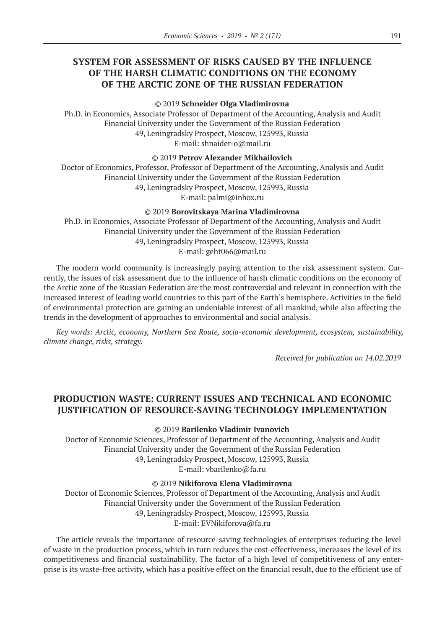# **SYSTEM FOR ASSESSMENT OF RISKS CAUSED BY THE INFLUENCE OF THE HARSH CLIMATIC CONDITIONS ON THE ECONOMY OF THE ARCTIC ZONE OF THE RUSSIAN FEDERATION**

©© 2019 **Schneider Olga Vladimirovna**

Ph.D. in Economics, Associate Professor of Department of the Accounting, Analysis and Audit Financial University under the Government of the Russian Federation 49, Leningradsky Prospect, Moscow, 125993, Russia E-mail: shnaider-o@mail.ru

#### ©© 2019 **Petrov Alexander Mikhailovich**

Doctor of Economics, Professor, Professor of Department of the Accounting, Analysis and Audit Financial University under the Government of the Russian Federation 49, Leningradsky Prospect, Moscow, 125993, Russia E‑mail: palmi@inbox.ru

©© 2019 **Borovitskaya Marina Vladimirovna**

Ph.D. in Economics, Associate Professor of Department of the Accounting, Analysis and Audit Financial University under the Government of the Russian Federation 49, Leningradsky Prospect, Moscow, 125993, Russia E-mail: geht066@mail.ru

The modern world community is increasingly paying attention to the risk assessment system. Currently, the issues of risk assessment due to the influence of harsh climatic conditions on the economy of the Arctic zone of the Russian Federation are the most controversial and relevant in connection with the increased interest of leading world countries to this part of the Earth's hemisphere. Activities in the field of environmental protection are gaining an undeniable interest of all mankind, while also affecting the trends in the development of approaches to environmental and social analysis.

*Key words: Arctic, economy, Northern Sea Route, socio-economic development, ecosystem, sustainability, climate change, risks, strategy.*

*Received for publication on 14.02.2019*

# **PRODUCTION WASTE: CURRENT ISSUES AND TECHNICAL AND ECONOMIC JUSTIFICATION OF RESOURCE-SAVING TECHNOLOGY IMPLEMENTATION**

©© 2019 **Barilenko Vladimir Ivanovich**

Doctor of Economic Sciences, Professor of Department of the Accounting, Analysis and Audit Financial University under the Government of the Russian Federation 49, Leningradsky Prospect, Moscow, 125993, Russia E‑mail: vbarilenko@fa.ru

©© 2019 **Nikiforova Elena Vladimirovna**

Doctor of Economic Sciences, Professor of Department of the Accounting, Analysis and Audit Financial University under the Government of the Russian Federation 49, Leningradsky Prospect, Moscow, 125993, Russia E‑mail: EVNikiforova@fa.ru

The article reveals the importance of resource-saving technologies of enterprises reducing the level of waste in the production process, which in turn reduces the cost-effectiveness, increases the level of its competitiveness and financial sustainability. The factor of a high level of competitiveness of any enterprise is its waste-free activity, which has a positive effect on the financial result, due to the efficient use of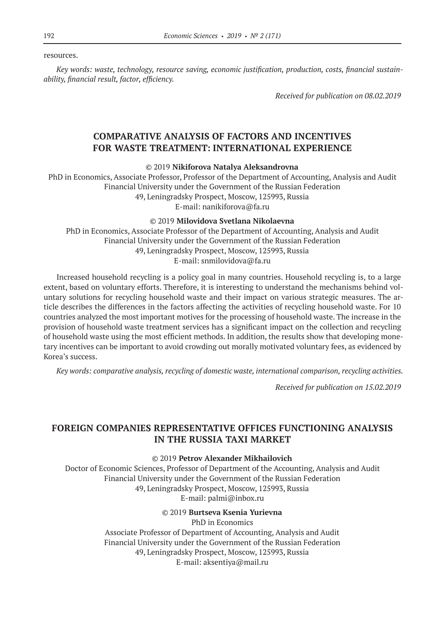resources.

*Key words: waste, technology, resource saving, economic justification, production, costs, financial sustainability, financial result, factor, efficiency.*

*Received for publication on 08.02.2019*

# **COMPARATIVE ANALYSIS OF FACTORS AND INCENTIVES FOR WASTE TREATMENT: INTERNATIONAL EXPERIENCE**

©© 2019 **Nikiforova Natalya Aleksandrovna**

PhD in Economics, Associate Professor, Professor of the Department of Accounting, Analysis and Audit Financial University under the Government of the Russian Federation 49, Leningradsky Prospect, Moscow, 125993, Russia E‑mail: nanikiforova@fa.ru

©© 2019 **Milovidova Svetlana Nikolaevna**

PhD in Economics, Associate Professor of the Department of Accounting, Analysis and Audit Financial University under the Government of the Russian Federation 49, Leningradsky Prospect, Moscow, 125993, Russia E-mail: snmilovidova@fa.ru

Increased household recycling is a policy goal in many countries. Household recycling is, to a large extent, based on voluntary efforts. Therefore, it is interesting to understand the mechanisms behind voluntary solutions for recycling household waste and their impact on various strategic measures. The article describes the differences in the factors affecting the activities of recycling household waste. For 10 countries analyzed the most important motives for the processing of household waste. The increase in the provision of household waste treatment services has a significant impact on the collection and recycling of household waste using the most efficient methods. In addition, the results show that developing monetary incentives can be important to avoid crowding out morally motivated voluntary fees, as evidenced by Korea's success.

*Key words: comparative analysis, recycling of domestic waste, international comparison, recycling activities.*

*Received for publication on 15.02.2019*

# **FOREIGN COMPANIES REPRESENTATIVE OFFICES FUNCTIONING ANALYSIS IN THE RUSSIA TAXI MARKET**

©© 2019 **Petrov Alexander Mikhailovich**

Doctor of Economic Sciences, Professor of Department of the Accounting, Analysis and Audit Financial University under the Government of the Russian Federation 49, Leningradsky Prospect, Moscow, 125993, Russia E‑mail: palmi@inbox.ru

©© 2019 **Burtseva Ksenia Yurievna**

PhD in Economics Associate Professor of Department of Accounting, Analysis and Audit Financial University under the Government of the Russian Federation 49, Leningradsky Prospect, Moscow, 125993, Russia E‑mail: aksentiya@mail.ru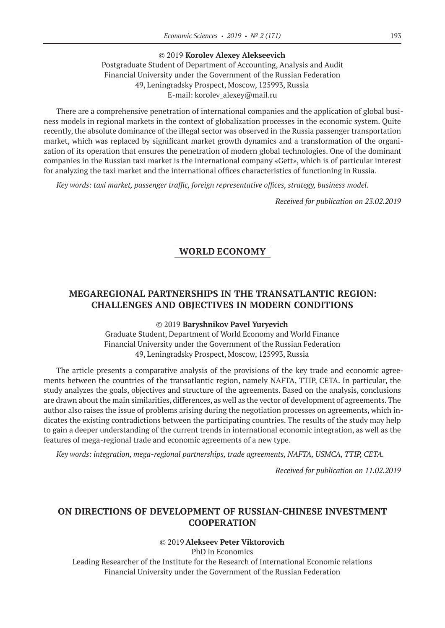#### ©© 2019 **Korolev Alexey Alekseevich**

Postgraduate Student of Department of Accounting, Analysis and Audit Financial University under the Government of the Russian Federation 49, Leningradsky Prospect, Moscow, 125993, Russia E-mail: korolev alexey@mail.ru

There are a comprehensive penetration of international companies and the application of global business models in regional markets in the context of globalization processes in the economic system. Quite recently, the absolute dominance of the illegal sector was observed in the Russia passenger transportation market, which was replaced by significant market growth dynamics and a transformation of the organization of its operation that ensures the penetration of modern global technologies. One of the dominant companies in the Russian taxi market is the international company «Gett», which is of particular interest for analyzing the taxi market and the international offices characteristics of functioning in Russia.

*Key words: taxi market, passenger traffic, foreign representative offices, strategy, business model.*

*Received for publication on 23.02.2019*

# **WORLD ECONOMY**

# **MEGAREGIONAL PARTNERSHIPS IN THE TRANSATLANTIC REGION: CHALLENGES AND OBJECTIVES IN MODERN CONDITIONS**

#### ©© 2019 **Baryshnikov Pavel Yuryevich**

Graduate Student, Department of World Economy and World Finance Financial University under the Government of the Russian Federation 49, Leningradsky Prospect, Moscow, 125993, Russia

The article presents a comparative analysis of the provisions of the key trade and economic agreements between the countries of the transatlantic region, namely NAFTA, TTIP, CETA. In particular, the study analyzes the goals, objectives and structure of the agreements. Based on the analysis, conclusions are drawn about the main similarities, differences, as well as the vector of development of agreements. The author also raises the issue of problems arising during the negotiation processes on agreements, which indicates the existing contradictions between the participating countries. The results of the study may help to gain a deeper understanding of the current trends in international economic integration, as well as the features of mega-regional trade and economic agreements of a new type.

*Key words: integration, mega-regional partnerships, trade agreements, NAFTA, USMCA, TTIP, CETA.*

*Received for publication on 11.02.2019*

# **ON DIRECTIONS OF DEVELOPMENT OF RUSSIAN-CHINESE INVESTMENT COOPERATION**

## ©© 2019 **Alekseev Peter Viktorovich**

PhD in Economics Leading Researcher of the Institute for the Research of International Economic relations Financial University under the Government of the Russian Federation